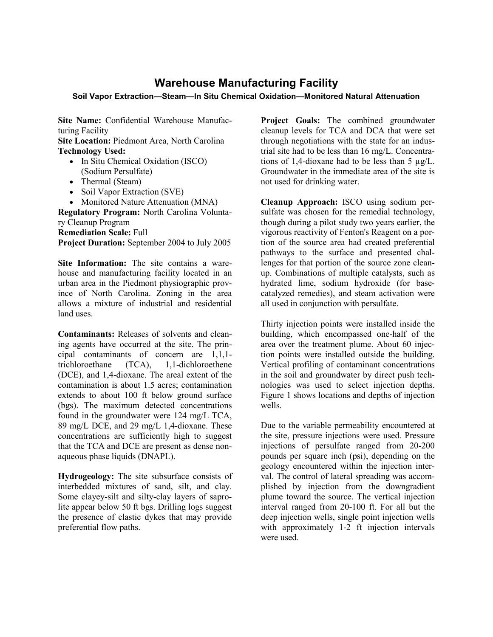## **Warehouse Manufacturing Facility**

## **Soil Vapor Extraction—Steam—In Situ Chemical Oxidation—Monitored Natural Attenuation**

**Site Name:** Confidential Warehouse Manufacturing Facility

**Site Location:** Piedmont Area, North Carolina **Technology Used:**

- In Situ Chemical Oxidation (ISCO) (Sodium Persulfate)
- Thermal (Steam)
- Soil Vapor Extraction (SVE)
- Monitored Nature Attenuation (MNA)

**Regulatory Program:** North Carolina Voluntary Cleanup Program **Remediation Scale:** Full

**Project Duration:** September 2004 to July 2005

**Site Information:** The site contains a warehouse and manufacturing facility located in an urban area in the Piedmont physiographic province of North Carolina. Zoning in the area allows a mixture of industrial and residential land uses.

**Contaminants:** Releases of solvents and cleaning agents have occurred at the site. The principal contaminants of concern are 1,1,1 trichloroethane (TCA), 1,1-dichloroethene (DCE), and 1,4-dioxane. The areal extent of the contamination is about 1.5 acres; contamination extends to about 100 ft below ground surface (bgs). The maximum detected concentrations found in the groundwater were 124 mg/L TCA, 89 mg/L DCE, and 29 mg/L 1,4-dioxane. These concentrations are sufficiently high to suggest that the TCA and DCE are present as dense nonaqueous phase liquids (DNAPL).

**Hydrogeology:** The site subsurface consists of interbedded mixtures of sand, silt, and clay. Some clayey-silt and silty-clay layers of saprolite appear below 50 ft bgs. Drilling logs suggest the presence of clastic dykes that may provide preferential flow paths.

**Project Goals:** The combined groundwater cleanup levels for TCA and DCA that were set through negotiations with the state for an industrial site had to be less than 16 mg/L. Concentrations of 1.4-dioxane had to be less than  $5 \text{ u} \text{g/L}$ . Groundwater in the immediate area of the site is not used for drinking water.

**Cleanup Approach:** ISCO using sodium persulfate was chosen for the remedial technology, though during a pilot study two years earlier, the vigorous reactivity of Fenton's Reagent on a portion of the source area had created preferential pathways to the surface and presented challenges for that portion of the source zone cleanup. Combinations of multiple catalysts, such as hydrated lime, sodium hydroxide (for basecatalyzed remedies), and steam activation were all used in conjunction with persulfate.

Thirty injection points were installed inside the building, which encompassed one-half of the area over the treatment plume. About 60 injection points were installed outside the building. Vertical profiling of contaminant concentrations in the soil and groundwater by direct push technologies was used to select injection depths. Figure 1 shows locations and depths of injection wells.

Due to the variable permeability encountered at the site, pressure injections were used. Pressure injections of persulfate ranged from 20-200 pounds per square inch (psi), depending on the geology encountered within the injection interval. The control of lateral spreading was accomplished by injection from the downgradient plume toward the source. The vertical injection interval ranged from 20-100 ft. For all but the deep injection wells, single point injection wells with approximately 1-2 ft injection intervals were used.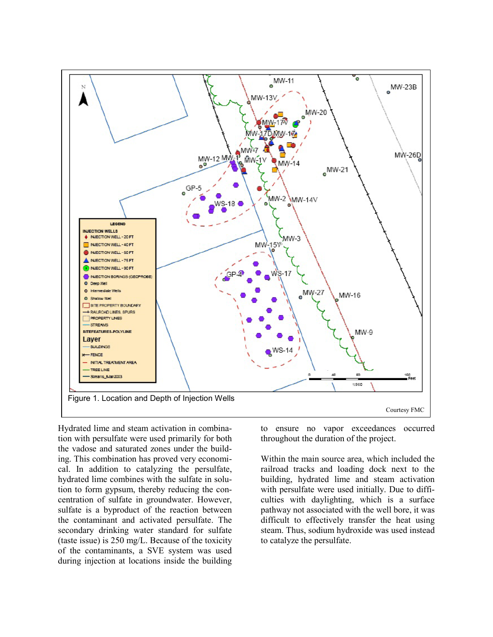

Hydrated lime and steam activation in combination with persulfate were used primarily for both the vadose and saturated zones under the building. This combination has proved very economical. In addition to catalyzing the persulfate, hydrated lime combines with the sulfate in solution to form gypsum, thereby reducing the concentration of sulfate in groundwater. However, sulfate is a byproduct of the reaction between the contaminant and activated persulfate. The secondary drinking water standard for sulfate (taste issue) is 250 mg/L. Because of the toxicity of the contaminants, a SVE system was used during injection at locations inside the building

to ensure no vapor exceedances occurred throughout the duration of the project.

Within the main source area, which included the railroad tracks and loading dock next to the building, hydrated lime and steam activation with persulfate were used initially. Due to difficulties with daylighting, which is a surface pathway not associated with the well bore, it was difficult to effectively transfer the heat using steam. Thus, sodium hydroxide was used instead to catalyze the persulfate.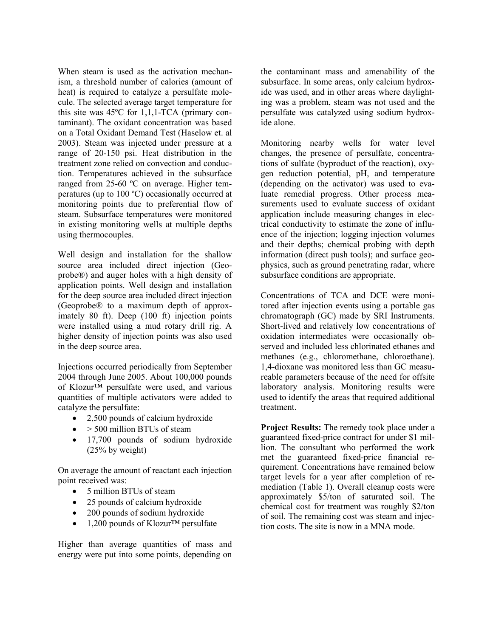When steam is used as the activation mechanism, a threshold number of calories (amount of heat) is required to catalyze a persulfate molecule. The selected average target temperature for this site was 45ºC for 1,1,1-TCA (primary contaminant). The oxidant concentration was based on a Total Oxidant Demand Test (Haselow et. al 2003). Steam was injected under pressure at a range of 20-150 psi. Heat distribution in the treatment zone relied on convection and conduction. Temperatures achieved in the subsurface ranged from 25-60 ºC on average. Higher temperatures (up to 100 ºC) occasionally occurred at monitoring points due to preferential flow of steam. Subsurface temperatures were monitored in existing monitoring wells at multiple depths using thermocouples.

Well design and installation for the shallow source area included direct injection (Geoprobe®) and auger holes with a high density of application points. Well design and installation for the deep source area included direct injection (Geoprobe® to a maximum depth of approximately 80 ft). Deep (100 ft) injection points were installed using a mud rotary drill rig. A higher density of injection points was also used in the deep source area.

Injections occurred periodically from September 2004 through June 2005. About 100,000 pounds of Klozur™ persulfate were used, and various quantities of multiple activators were added to catalyze the persulfate:

- 2,500 pounds of calcium hydroxide
- $\bullet$  > 500 million BTUs of steam
- 17,700 pounds of sodium hydroxide (25% by weight)

On average the amount of reactant each injection point received was:

- 5 million BTUs of steam
- 25 pounds of calcium hydroxide
- 200 pounds of sodium hydroxide
- 1,200 pounds of Klozur<sup>™</sup> persulfate

Higher than average quantities of mass and energy were put into some points, depending on

the contaminant mass and amenability of the subsurface. In some areas, only calcium hydroxide was used, and in other areas where daylighting was a problem, steam was not used and the persulfate was catalyzed using sodium hydroxide alone.

Monitoring nearby wells for water level changes, the presence of persulfate, concentrations of sulfate (byproduct of the reaction), oxygen reduction potential, pH, and temperature (depending on the activator) was used to evaluate remedial progress. Other process measurements used to evaluate success of oxidant application include measuring changes in electrical conductivity to estimate the zone of influence of the injection; logging injection volumes and their depths; chemical probing with depth information (direct push tools); and surface geophysics, such as ground penetrating radar, where subsurface conditions are appropriate.

Concentrations of TCA and DCE were monitored after injection events using a portable gas chromatograph (GC) made by SRI Instruments. Short-lived and relatively low concentrations of oxidation intermediates were occasionally observed and included less chlorinated ethanes and methanes (e.g., chloromethane, chloroethane). 1,4-dioxane was monitored less than GC measureable parameters because of the need for offsite laboratory analysis. Monitoring results were used to identify the areas that required additional treatment.

**Project Results:** The remedy took place under a guaranteed fixed-price contract for under \$1 million. The consultant who performed the work met the guaranteed fixed-price financial requirement. Concentrations have remained below target levels for a year after completion of remediation (Table 1). Overall cleanup costs were approximately \$5/ton of saturated soil. The chemical cost for treatment was roughly \$2/ton of soil. The remaining cost was steam and injection costs. The site is now in a MNA mode.